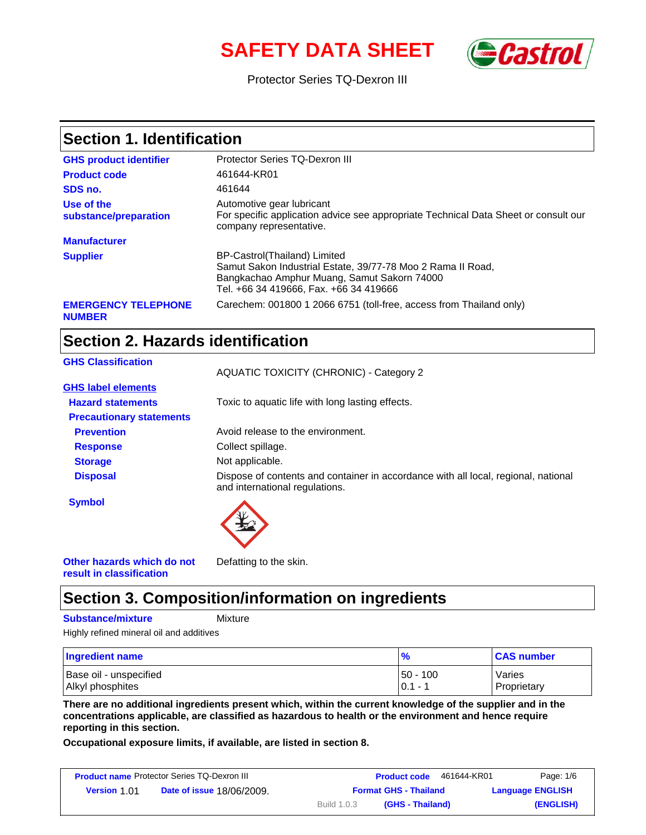# **SAFETY DATA SHEET**



Protector Series TQ-Dexron III

| <b>Section 1. Identification</b>            |                                                                                                                                                                                       |  |
|---------------------------------------------|---------------------------------------------------------------------------------------------------------------------------------------------------------------------------------------|--|
| <b>GHS product identifier</b>               | Protector Series TQ-Dexron III                                                                                                                                                        |  |
| <b>Product code</b>                         | 461644-KR01                                                                                                                                                                           |  |
| SDS no.                                     | 461644                                                                                                                                                                                |  |
| Use of the<br>substance/preparation         | Automotive gear lubricant<br>For specific application advice see appropriate Technical Data Sheet or consult our<br>company representative.                                           |  |
| <b>Manufacturer</b>                         |                                                                                                                                                                                       |  |
| <b>Supplier</b>                             | BP-Castrol (Thailand) Limited<br>Samut Sakon Industrial Estate, 39/77-78 Moo 2 Rama II Road,<br>Bangkachao Amphur Muang, Samut Sakorn 74000<br>Tel. +66 34 419666. Fax. +66 34 419666 |  |
| <b>EMERGENCY TELEPHONE</b><br><b>NUMBER</b> | Carechem: 001800 1 2066 6751 (toll-free, access from Thailand only)                                                                                                                   |  |

# **Section 2. Hazards identification**

| <b>GHS Classification</b>       | <b>AQUATIC TOXICITY (CHRONIC) - Category 2</b>                                                                       |
|---------------------------------|----------------------------------------------------------------------------------------------------------------------|
| <b>GHS label elements</b>       |                                                                                                                      |
| <b>Hazard statements</b>        | Toxic to aquatic life with long lasting effects.                                                                     |
| <b>Precautionary statements</b> |                                                                                                                      |
| <b>Prevention</b>               | Avoid release to the environment.                                                                                    |
| <b>Response</b>                 | Collect spillage.                                                                                                    |
| <b>Storage</b>                  | Not applicable.                                                                                                      |
| <b>Disposal</b>                 | Dispose of contents and container in accordance with all local, regional, national<br>and international regulations. |
| <b>Symbol</b>                   |                                                                                                                      |

**Other hazards which do not result in classification**

Defatting to the skin.

# **Section 3. Composition/information on ingredients**

**Substance/mixture Mixture** 

Highly refined mineral oil and additives

| <b>Ingredient name</b> | $\frac{9}{6}$ | <b>CAS number</b> |
|------------------------|---------------|-------------------|
| Base oil - unspecified | 50 - 100      | Varies            |
| Alkyl phosphites       | $10.1 - 1$    | Proprietary       |

**There are no additional ingredients present which, within the current knowledge of the supplier and in the concentrations applicable, are classified as hazardous to health or the environment and hence require reporting in this section.**

**Occupational exposure limits, if available, are listed in section 8.**

|                     | <b>Product name Protector Series TQ-Dexron III</b> |             | <b>Product code</b>          | 461644-KR01 | Page: 1/6               |
|---------------------|----------------------------------------------------|-------------|------------------------------|-------------|-------------------------|
| <b>Version 1.01</b> | <b>Date of issue 18/06/2009.</b>                   |             | <b>Format GHS - Thailand</b> |             | <b>Language ENGLISH</b> |
|                     |                                                    | Build 1.0.3 | (GHS - Thailand)             |             | (ENGLISH)               |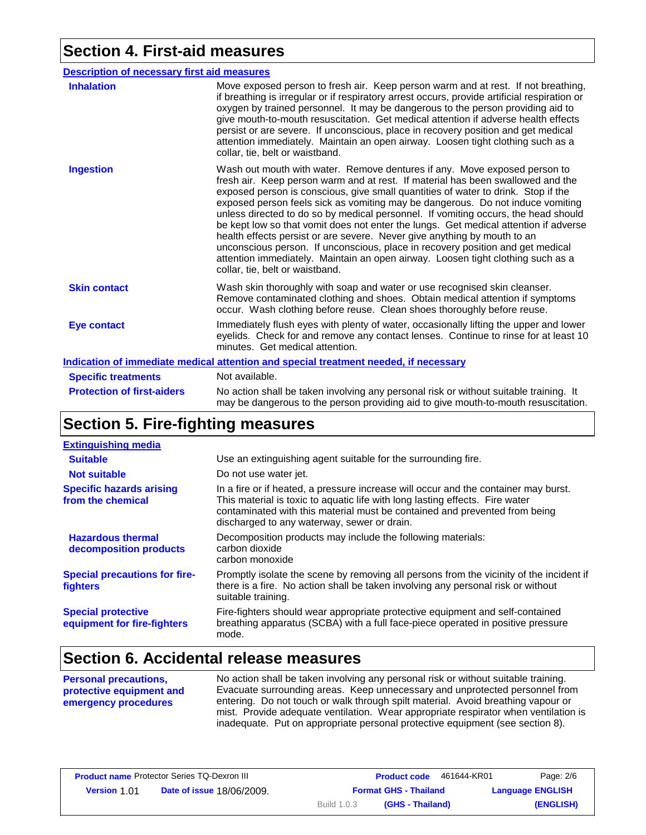# **Section 4. First-aid measures**

| <b>Description of necessary first aid measures</b>                                          |                                                                                                                                                                                                                                                                                                                                                                                                                                                                                                                                                                                                                                                                                                                                                                                                       |  |
|---------------------------------------------------------------------------------------------|-------------------------------------------------------------------------------------------------------------------------------------------------------------------------------------------------------------------------------------------------------------------------------------------------------------------------------------------------------------------------------------------------------------------------------------------------------------------------------------------------------------------------------------------------------------------------------------------------------------------------------------------------------------------------------------------------------------------------------------------------------------------------------------------------------|--|
| <b>Inhalation</b>                                                                           | Move exposed person to fresh air. Keep person warm and at rest. If not breathing,<br>if breathing is irregular or if respiratory arrest occurs, provide artificial respiration or<br>oxygen by trained personnel. It may be dangerous to the person providing aid to<br>give mouth-to-mouth resuscitation. Get medical attention if adverse health effects<br>persist or are severe. If unconscious, place in recovery position and get medical<br>attention immediately. Maintain an open airway. Loosen tight clothing such as a<br>collar, tie, belt or waistband.                                                                                                                                                                                                                                 |  |
| <b>Ingestion</b>                                                                            | Wash out mouth with water. Remove dentures if any. Move exposed person to<br>fresh air. Keep person warm and at rest. If material has been swallowed and the<br>exposed person is conscious, give small quantities of water to drink. Stop if the<br>exposed person feels sick as vomiting may be dangerous. Do not induce vomiting<br>unless directed to do so by medical personnel. If vomiting occurs, the head should<br>be kept low so that vomit does not enter the lungs. Get medical attention if adverse<br>health effects persist or are severe. Never give anything by mouth to an<br>unconscious person. If unconscious, place in recovery position and get medical<br>attention immediately. Maintain an open airway. Loosen tight clothing such as a<br>collar, tie, belt or waistband. |  |
| <b>Skin contact</b>                                                                         | Wash skin thoroughly with soap and water or use recognised skin cleanser.<br>Remove contaminated clothing and shoes. Obtain medical attention if symptoms<br>occur. Wash clothing before reuse. Clean shoes thoroughly before reuse.                                                                                                                                                                                                                                                                                                                                                                                                                                                                                                                                                                  |  |
| <b>Eye contact</b>                                                                          | Immediately flush eyes with plenty of water, occasionally lifting the upper and lower<br>eyelids. Check for and remove any contact lenses. Continue to rinse for at least 10<br>minutes. Get medical attention.                                                                                                                                                                                                                                                                                                                                                                                                                                                                                                                                                                                       |  |
| <b>Indication of immediate medical attention and special treatment needed, if necessary</b> |                                                                                                                                                                                                                                                                                                                                                                                                                                                                                                                                                                                                                                                                                                                                                                                                       |  |
| <b>Specific treatments</b>                                                                  | Not available.                                                                                                                                                                                                                                                                                                                                                                                                                                                                                                                                                                                                                                                                                                                                                                                        |  |
| <b>Protection of first-aiders</b>                                                           | No action shall be taken involving any personal risk or without suitable training. It<br>may be dangerous to the person providing aid to give mouth-to-mouth resuscitation.                                                                                                                                                                                                                                                                                                                                                                                                                                                                                                                                                                                                                           |  |

# **Section 5. Fire-fighting measures**

| <b>Extinguishing media</b>                               |                                                                                                                                                                                                                                                                                                  |
|----------------------------------------------------------|--------------------------------------------------------------------------------------------------------------------------------------------------------------------------------------------------------------------------------------------------------------------------------------------------|
| <b>Suitable</b>                                          | Use an extinguishing agent suitable for the surrounding fire.                                                                                                                                                                                                                                    |
| <b>Not suitable</b>                                      | Do not use water jet.                                                                                                                                                                                                                                                                            |
| <b>Specific hazards arising</b><br>from the chemical     | In a fire or if heated, a pressure increase will occur and the container may burst.<br>This material is toxic to aquatic life with long lasting effects. Fire water<br>contaminated with this material must be contained and prevented from being<br>discharged to any waterway, sewer or drain. |
| <b>Hazardous thermal</b><br>decomposition products       | Decomposition products may include the following materials:<br>carbon dioxide<br>carbon monoxide                                                                                                                                                                                                 |
| <b>Special precautions for fire-</b><br>fighters         | Promptly isolate the scene by removing all persons from the vicinity of the incident if<br>there is a fire. No action shall be taken involving any personal risk or without<br>suitable training.                                                                                                |
| <b>Special protective</b><br>equipment for fire-fighters | Fire-fighters should wear appropriate protective equipment and self-contained<br>breathing apparatus (SCBA) with a full face-piece operated in positive pressure<br>mode.                                                                                                                        |

# **Section 6. Accidental release measures**

**Personal precautions, protective equipment and emergency procedures**

No action shall be taken involving any personal risk or without suitable training. Evacuate surrounding areas. Keep unnecessary and unprotected personnel from entering. Do not touch or walk through spilt material. Avoid breathing vapour or mist. Provide adequate ventilation. Wear appropriate respirator when ventilation is inadequate. Put on appropriate personal protective equipment (see section 8).

|                     | <b>Product name Protector Series TQ-Dexron III</b> |                    | <b>Product code</b>          | 461644-KR01 | Page: 2/6               |
|---------------------|----------------------------------------------------|--------------------|------------------------------|-------------|-------------------------|
| <b>Version 1.01</b> | <b>Date of issue 18/06/2009.</b>                   |                    | <b>Format GHS - Thailand</b> |             | <b>Language ENGLISH</b> |
|                     |                                                    | <b>Build 1.0.3</b> | (GHS - Thailand)             |             | (ENGLISH)               |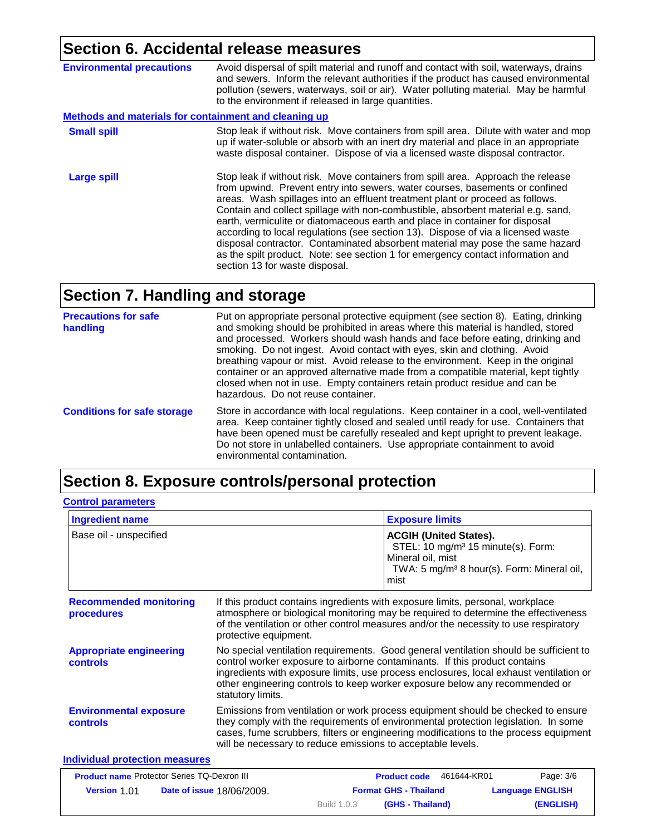# **Section 6. Accidental release measures**

| <b>Environmental precautions</b>                      | Avoid dispersal of spilt material and runoff and contact with soil, waterways, drains<br>and sewers. Inform the relevant authorities if the product has caused environmental<br>pollution (sewers, waterways, soil or air). Water polluting material. May be harmful<br>to the environment if released in large quantities.                                                                                                                                                                                                                                                                                                                                                                                     |
|-------------------------------------------------------|-----------------------------------------------------------------------------------------------------------------------------------------------------------------------------------------------------------------------------------------------------------------------------------------------------------------------------------------------------------------------------------------------------------------------------------------------------------------------------------------------------------------------------------------------------------------------------------------------------------------------------------------------------------------------------------------------------------------|
| Methods and materials for containment and cleaning up |                                                                                                                                                                                                                                                                                                                                                                                                                                                                                                                                                                                                                                                                                                                 |
| <b>Small spill</b>                                    | Stop leak if without risk. Move containers from spill area. Dilute with water and mop<br>up if water-soluble or absorb with an inert dry material and place in an appropriate<br>waste disposal container. Dispose of via a licensed waste disposal contractor.                                                                                                                                                                                                                                                                                                                                                                                                                                                 |
| <b>Large spill</b>                                    | Stop leak if without risk. Move containers from spill area. Approach the release<br>from upwind. Prevent entry into sewers, water courses, basements or confined<br>areas. Wash spillages into an effluent treatment plant or proceed as follows.<br>Contain and collect spillage with non-combustible, absorbent material e.g. sand,<br>earth, vermiculite or diatomaceous earth and place in container for disposal<br>according to local regulations (see section 13). Dispose of via a licensed waste<br>disposal contractor. Contaminated absorbent material may pose the same hazard<br>as the spilt product. Note: see section 1 for emergency contact information and<br>section 13 for waste disposal. |

# **Section 7. Handling and storage**

| <b>Precautions for safe</b><br>handling | Put on appropriate personal protective equipment (see section 8). Eating, drinking<br>and smoking should be prohibited in areas where this material is handled, stored<br>and processed. Workers should wash hands and face before eating, drinking and<br>smoking. Do not ingest. Avoid contact with eyes, skin and clothing. Avoid<br>breathing vapour or mist. Avoid release to the environment. Keep in the original<br>container or an approved alternative made from a compatible material, kept tightly<br>closed when not in use. Empty containers retain product residue and can be<br>hazardous. Do not reuse container. |
|-----------------------------------------|------------------------------------------------------------------------------------------------------------------------------------------------------------------------------------------------------------------------------------------------------------------------------------------------------------------------------------------------------------------------------------------------------------------------------------------------------------------------------------------------------------------------------------------------------------------------------------------------------------------------------------|
| <b>Conditions for safe storage</b>      | Store in accordance with local regulations. Keep container in a cool, well-ventilated<br>area. Keep container tightly closed and sealed until ready for use. Containers that<br>have been opened must be carefully resealed and kept upright to prevent leakage.<br>Do not store in unlabelled containers. Use appropriate containment to avoid<br>environmental contamination.                                                                                                                                                                                                                                                    |

## **Section 8. Exposure controls/personal protection**

| <b>Control parameters</b>                         |                                                                                                                                                                                                                                                                                                                                                                   |                                                                                                                                                                                                                                                                |
|---------------------------------------------------|-------------------------------------------------------------------------------------------------------------------------------------------------------------------------------------------------------------------------------------------------------------------------------------------------------------------------------------------------------------------|----------------------------------------------------------------------------------------------------------------------------------------------------------------------------------------------------------------------------------------------------------------|
| <b>Ingredient name</b>                            |                                                                                                                                                                                                                                                                                                                                                                   | <b>Exposure limits</b>                                                                                                                                                                                                                                         |
| Base oil - unspecified                            |                                                                                                                                                                                                                                                                                                                                                                   | <b>ACGIH (United States).</b><br>STEL: 10 mg/m <sup>3</sup> 15 minute(s). Form:<br>Mineral oil, mist<br>TWA: 5 mg/m <sup>3</sup> 8 hour(s). Form: Mineral oil,<br>mist                                                                                         |
| <b>Recommended monitoring</b><br>procedures       | protective equipment.                                                                                                                                                                                                                                                                                                                                             | If this product contains ingredients with exposure limits, personal, workplace<br>atmosphere or biological monitoring may be required to determine the effectiveness<br>of the ventilation or other control measures and/or the necessity to use respiratory   |
| <b>Appropriate engineering</b><br><b>controls</b> | No special ventilation requirements. Good general ventilation should be sufficient to<br>control worker exposure to airborne contaminants. If this product contains<br>ingredients with exposure limits, use process enclosures, local exhaust ventilation or<br>other engineering controls to keep worker exposure below any recommended or<br>statutory limits. |                                                                                                                                                                                                                                                                |
| <b>Environmental exposure</b><br>controls         | will be necessary to reduce emissions to acceptable levels.                                                                                                                                                                                                                                                                                                       | Emissions from ventilation or work process equipment should be checked to ensure<br>they comply with the requirements of environmental protection legislation. In some<br>cases, fume scrubbers, filters or engineering modifications to the process equipment |
| <b>Individual protection measures</b>             |                                                                                                                                                                                                                                                                                                                                                                   |                                                                                                                                                                                                                                                                |

#### **Date of issue Version Format GHS - Thailand Language** 1.01 18/06/2009.**Product name** Protector Series TQ-Dexron III **Product code** 461644-KR01 Page: 3/6 Product code 461644-KR01 Build 1.0.3 **ENGLISH (GHS - Thailand) (ENGLISH)**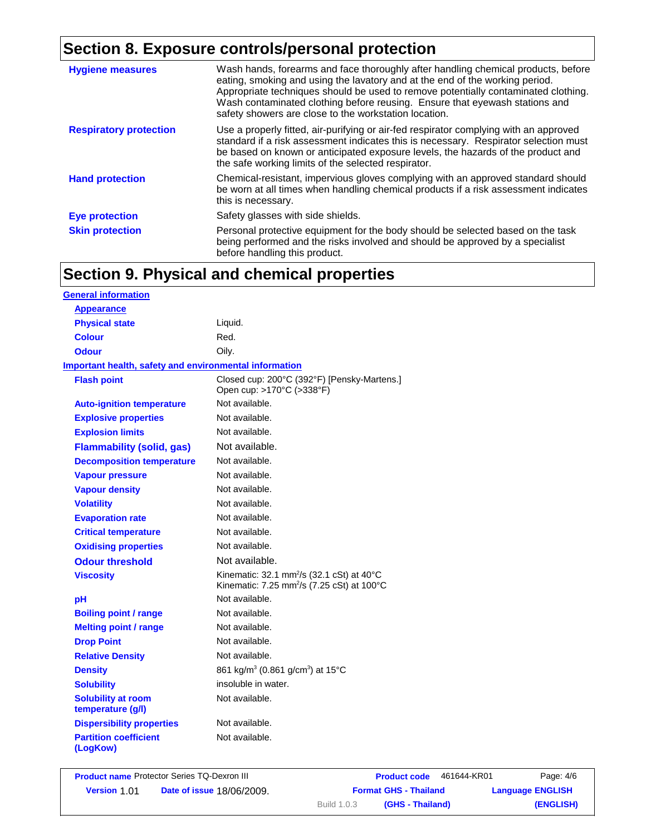# **Section 8. Exposure controls/personal protection**

| <b>Hygiene measures</b>       | Wash hands, forearms and face thoroughly after handling chemical products, before<br>eating, smoking and using the lavatory and at the end of the working period.<br>Appropriate techniques should be used to remove potentially contaminated clothing.<br>Wash contaminated clothing before reusing. Ensure that eyewash stations and<br>safety showers are close to the workstation location. |
|-------------------------------|-------------------------------------------------------------------------------------------------------------------------------------------------------------------------------------------------------------------------------------------------------------------------------------------------------------------------------------------------------------------------------------------------|
| <b>Respiratory protection</b> | Use a properly fitted, air-purifying or air-fed respirator complying with an approved<br>standard if a risk assessment indicates this is necessary. Respirator selection must<br>be based on known or anticipated exposure levels, the hazards of the product and<br>the safe working limits of the selected respirator.                                                                        |
| <b>Hand protection</b>        | Chemical-resistant, impervious gloves complying with an approved standard should<br>be worn at all times when handling chemical products if a risk assessment indicates<br>this is necessary.                                                                                                                                                                                                   |
| <b>Eye protection</b>         | Safety glasses with side shields.                                                                                                                                                                                                                                                                                                                                                               |
| <b>Skin protection</b>        | Personal protective equipment for the body should be selected based on the task<br>being performed and the risks involved and should be approved by a specialist<br>before handling this product.                                                                                                                                                                                               |

# **Section 9. Physical and chemical properties**

| <b>General information</b>                                    |                                                                                                                 |
|---------------------------------------------------------------|-----------------------------------------------------------------------------------------------------------------|
| <b>Appearance</b>                                             |                                                                                                                 |
| <b>Physical state</b>                                         | Liquid.                                                                                                         |
| <b>Colour</b>                                                 | Red.                                                                                                            |
| <b>Odour</b>                                                  | Oily.                                                                                                           |
| <b>Important health, safety and environmental information</b> |                                                                                                                 |
| <b>Flash point</b>                                            | Closed cup: 200°C (392°F) [Pensky-Martens.]<br>Open cup: >170°C (>338°F)                                        |
| <b>Auto-ignition temperature</b>                              | Not available.                                                                                                  |
| <b>Explosive properties</b>                                   | Not available.                                                                                                  |
| <b>Explosion limits</b>                                       | Not available.                                                                                                  |
| <b>Flammability (solid, gas)</b>                              | Not available.                                                                                                  |
| <b>Decomposition temperature</b>                              | Not available.                                                                                                  |
| <b>Vapour pressure</b>                                        | Not available.                                                                                                  |
| <b>Vapour density</b>                                         | Not available.                                                                                                  |
| <b>Volatility</b>                                             | Not available.                                                                                                  |
| <b>Evaporation rate</b>                                       | Not available.                                                                                                  |
| <b>Critical temperature</b>                                   | Not available.                                                                                                  |
| <b>Oxidising properties</b>                                   | Not available.                                                                                                  |
| <b>Odour threshold</b>                                        | Not available.                                                                                                  |
| <b>Viscosity</b>                                              | Kinematic: 32.1 mm <sup>2</sup> /s (32.1 cSt) at 40°C<br>Kinematic: 7.25 mm <sup>2</sup> /s (7.25 cSt) at 100°C |
| рH                                                            | Not available.                                                                                                  |
| <b>Boiling point / range</b>                                  | Not available.                                                                                                  |
| <b>Melting point / range</b>                                  | Not available.                                                                                                  |
| <b>Drop Point</b>                                             | Not available.                                                                                                  |
| <b>Relative Density</b>                                       | Not available.                                                                                                  |
| <b>Density</b>                                                | 861 kg/m <sup>3</sup> (0.861 g/cm <sup>3</sup> ) at 15°C                                                        |
| <b>Solubility</b>                                             | insoluble in water.                                                                                             |
| <b>Solubility at room</b><br>temperature (g/l)                | Not available.                                                                                                  |
| <b>Dispersibility properties</b>                              | Not available.                                                                                                  |
| <b>Partition coefficient</b><br>(LogKow)                      | Not available.                                                                                                  |
|                                                               |                                                                                                                 |

|                     | <b>Product name Protector Series TQ-Dexron III</b> |             | <b>Product code</b>          | 461644-KR01 | Page: 4/6               |
|---------------------|----------------------------------------------------|-------------|------------------------------|-------------|-------------------------|
| <b>Version 1.01</b> | <b>Date of issue 18/06/2009.</b>                   |             | <b>Format GHS - Thailand</b> |             | <b>Language ENGLISH</b> |
|                     |                                                    | Build 1.0.3 | (GHS - Thailand)             |             | (ENGLISH)               |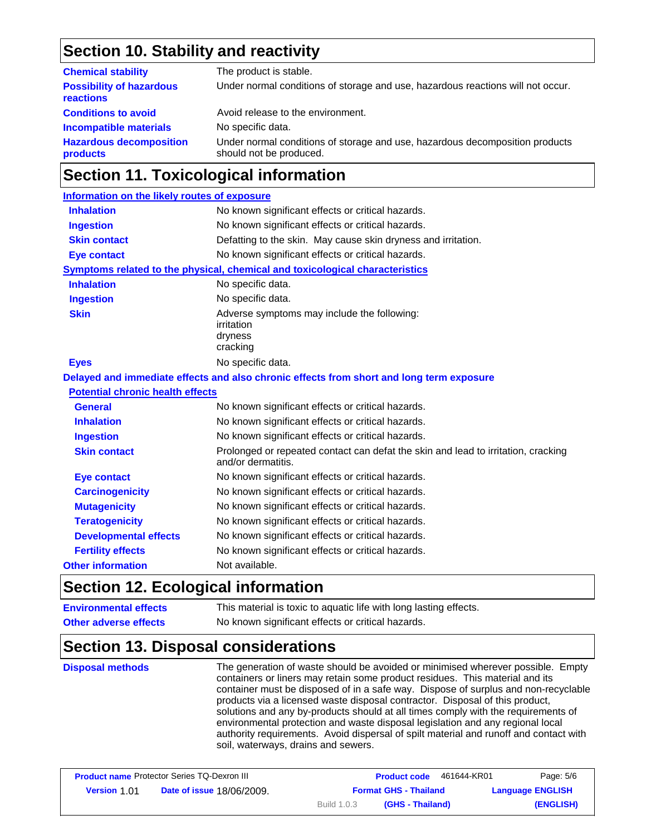# **Section 10. Stability and reactivity**

| <b>Chemical stability</b>                    | The product is stable.                                                                                  |
|----------------------------------------------|---------------------------------------------------------------------------------------------------------|
| <b>Possibility of hazardous</b><br>reactions | Under normal conditions of storage and use, hazardous reactions will not occur.                         |
| <b>Conditions to avoid</b>                   | Avoid release to the environment.                                                                       |
| <b>Incompatible materials</b>                | No specific data.                                                                                       |
| <b>Hazardous decomposition</b><br>products   | Under normal conditions of storage and use, hazardous decomposition products<br>should not be produced. |

# **Section 11. Toxicological information**

| Information on the likely routes of exposure |                                                                                                         |
|----------------------------------------------|---------------------------------------------------------------------------------------------------------|
| <b>Inhalation</b>                            | No known significant effects or critical hazards.                                                       |
| <b>Ingestion</b>                             | No known significant effects or critical hazards.                                                       |
| <b>Skin contact</b>                          | Defatting to the skin. May cause skin dryness and irritation.                                           |
| <b>Eye contact</b>                           | No known significant effects or critical hazards.                                                       |
|                                              | Symptoms related to the physical, chemical and toxicological characteristics                            |
| <b>Inhalation</b>                            | No specific data.                                                                                       |
| <b>Ingestion</b>                             | No specific data.                                                                                       |
| <b>Skin</b>                                  | Adverse symptoms may include the following:<br>irritation<br>dryness<br>cracking                        |
| <b>Eyes</b>                                  | No specific data.                                                                                       |
|                                              | Delayed and immediate effects and also chronic effects from short and long term exposure                |
| <b>Potential chronic health effects</b>      |                                                                                                         |
| <b>General</b>                               | No known significant effects or critical hazards.                                                       |
| <b>Inhalation</b>                            | No known significant effects or critical hazards.                                                       |
| <b>Ingestion</b>                             | No known significant effects or critical hazards.                                                       |
| <b>Skin contact</b>                          | Prolonged or repeated contact can defat the skin and lead to irritation, cracking<br>and/or dermatitis. |
| <b>Eye contact</b>                           | No known significant effects or critical hazards.                                                       |
| <b>Carcinogenicity</b>                       | No known significant effects or critical hazards.                                                       |
| <b>Mutagenicity</b>                          | No known significant effects or critical hazards.                                                       |
| <b>Teratogenicity</b>                        | No known significant effects or critical hazards.                                                       |
| <b>Developmental effects</b>                 | No known significant effects or critical hazards.                                                       |
| <b>Fertility effects</b>                     | No known significant effects or critical hazards.                                                       |
| <b>Other information</b>                     | Not available.                                                                                          |

## **Section 12. Ecological information**

| <b>Environmental effects</b> | This material is toxic to aquatic life with long lasting effects. |
|------------------------------|-------------------------------------------------------------------|
| <b>Other adverse effects</b> | No known significant effects or critical hazards.                 |

# **Section 13. Disposal considerations**

The generation of waste should be avoided or minimised wherever possible. Empty containers or liners may retain some product residues. This material and its container must be disposed of in a safe way. Dispose of surplus and non-recyclable products via a licensed waste disposal contractor. Disposal of this product, solutions and any by-products should at all times comply with the requirements of environmental protection and waste disposal legislation and any regional local authority requirements. Avoid dispersal of spilt material and runoff and contact with soil, waterways, drains and sewers. **Disposal methods**

|                     | <b>Product name Protector Series TQ-Dexron III</b> |             | <b>Product code</b>          | 461644-KR01 | Page: 5/6               |
|---------------------|----------------------------------------------------|-------------|------------------------------|-------------|-------------------------|
| <b>Version 1.01</b> | <b>Date of issue 18/06/2009.</b>                   |             | <b>Format GHS - Thailand</b> |             | <b>Language ENGLISH</b> |
|                     |                                                    | Build 1.0.3 | (GHS - Thailand)             |             | (ENGLISH)               |